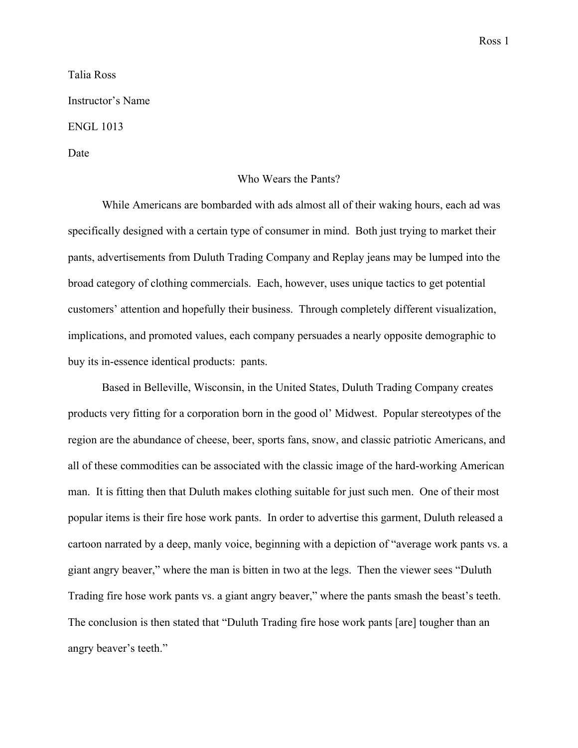Talia Ross Instructor's Name ENGL 1013 Date

## Who Wears the Pants?

While Americans are bombarded with ads almost all of their waking hours, each ad was specifically designed with a certain type of consumer in mind. Both just trying to market their pants, advertisements from Duluth Trading Company and Replay jeans may be lumped into the broad category of clothing commercials. Each, however, uses unique tactics to get potential customers' attention and hopefully their business. Through completely different visualization, implications, and promoted values, each company persuades a nearly opposite demographic to buy its in-essence identical products: pants.

Based in Belleville, Wisconsin, in the United States, Duluth Trading Company creates products very fitting for a corporation born in the good ol' Midwest. Popular stereotypes of the region are the abundance of cheese, beer, sports fans, snow, and classic patriotic Americans, and all of these commodities can be associated with the classic image of the hard-working American man. It is fitting then that Duluth makes clothing suitable for just such men. One of their most popular items is their fire hose work pants. In order to advertise this garment, Duluth released a cartoon narrated by a deep, manly voice, beginning with a depiction of "average work pants vs. a giant angry beaver," where the man is bitten in two at the legs. Then the viewer sees "Duluth Trading fire hose work pants vs. a giant angry beaver," where the pants smash the beast's teeth. The conclusion is then stated that "Duluth Trading fire hose work pants [are] tougher than an angry beaver's teeth."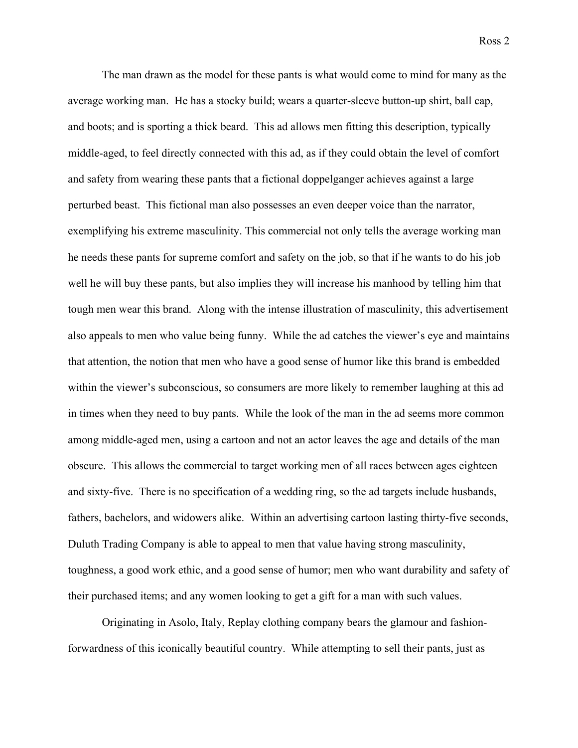The man drawn as the model for these pants is what would come to mind for many as the average working man. He has a stocky build; wears a quarter-sleeve button-up shirt, ball cap, and boots; and is sporting a thick beard. This ad allows men fitting this description, typically middle-aged, to feel directly connected with this ad, as if they could obtain the level of comfort and safety from wearing these pants that a fictional doppelganger achieves against a large perturbed beast. This fictional man also possesses an even deeper voice than the narrator, exemplifying his extreme masculinity. This commercial not only tells the average working man he needs these pants for supreme comfort and safety on the job, so that if he wants to do his job well he will buy these pants, but also implies they will increase his manhood by telling him that tough men wear this brand. Along with the intense illustration of masculinity, this advertisement also appeals to men who value being funny. While the ad catches the viewer's eye and maintains that attention, the notion that men who have a good sense of humor like this brand is embedded within the viewer's subconscious, so consumers are more likely to remember laughing at this ad in times when they need to buy pants. While the look of the man in the ad seems more common among middle-aged men, using a cartoon and not an actor leaves the age and details of the man obscure. This allows the commercial to target working men of all races between ages eighteen and sixty-five. There is no specification of a wedding ring, so the ad targets include husbands, fathers, bachelors, and widowers alike. Within an advertising cartoon lasting thirty-five seconds, Duluth Trading Company is able to appeal to men that value having strong masculinity, toughness, a good work ethic, and a good sense of humor; men who want durability and safety of their purchased items; and any women looking to get a gift for a man with such values.

Originating in Asolo, Italy, Replay clothing company bears the glamour and fashionforwardness of this iconically beautiful country. While attempting to sell their pants, just as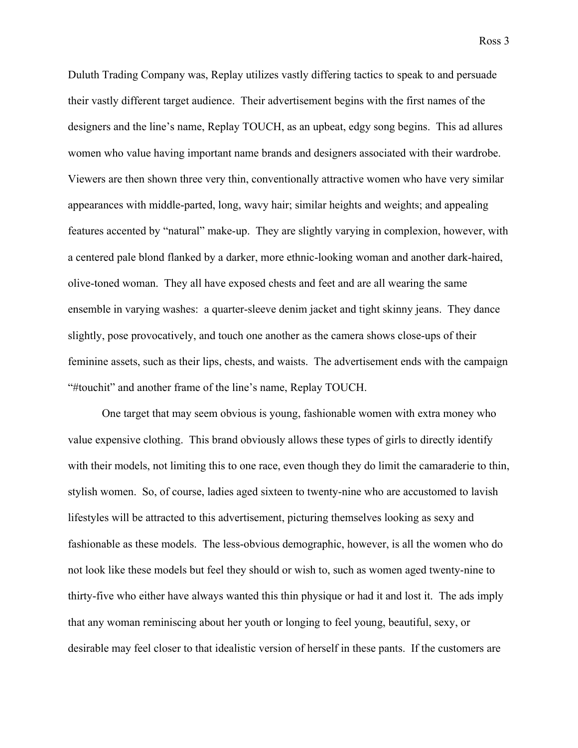Duluth Trading Company was, Replay utilizes vastly differing tactics to speak to and persuade their vastly different target audience. Their advertisement begins with the first names of the designers and the line's name, Replay TOUCH, as an upbeat, edgy song begins. This ad allures women who value having important name brands and designers associated with their wardrobe. Viewers are then shown three very thin, conventionally attractive women who have very similar appearances with middle-parted, long, wavy hair; similar heights and weights; and appealing features accented by "natural" make-up. They are slightly varying in complexion, however, with a centered pale blond flanked by a darker, more ethnic-looking woman and another dark-haired, olive-toned woman. They all have exposed chests and feet and are all wearing the same ensemble in varying washes: a quarter-sleeve denim jacket and tight skinny jeans. They dance slightly, pose provocatively, and touch one another as the camera shows close-ups of their feminine assets, such as their lips, chests, and waists. The advertisement ends with the campaign "#touchit" and another frame of the line's name, Replay TOUCH.

One target that may seem obvious is young, fashionable women with extra money who value expensive clothing. This brand obviously allows these types of girls to directly identify with their models, not limiting this to one race, even though they do limit the camaraderie to thin, stylish women. So, of course, ladies aged sixteen to twenty-nine who are accustomed to lavish lifestyles will be attracted to this advertisement, picturing themselves looking as sexy and fashionable as these models. The less-obvious demographic, however, is all the women who do not look like these models but feel they should or wish to, such as women aged twenty-nine to thirty-five who either have always wanted this thin physique or had it and lost it. The ads imply that any woman reminiscing about her youth or longing to feel young, beautiful, sexy, or desirable may feel closer to that idealistic version of herself in these pants. If the customers are